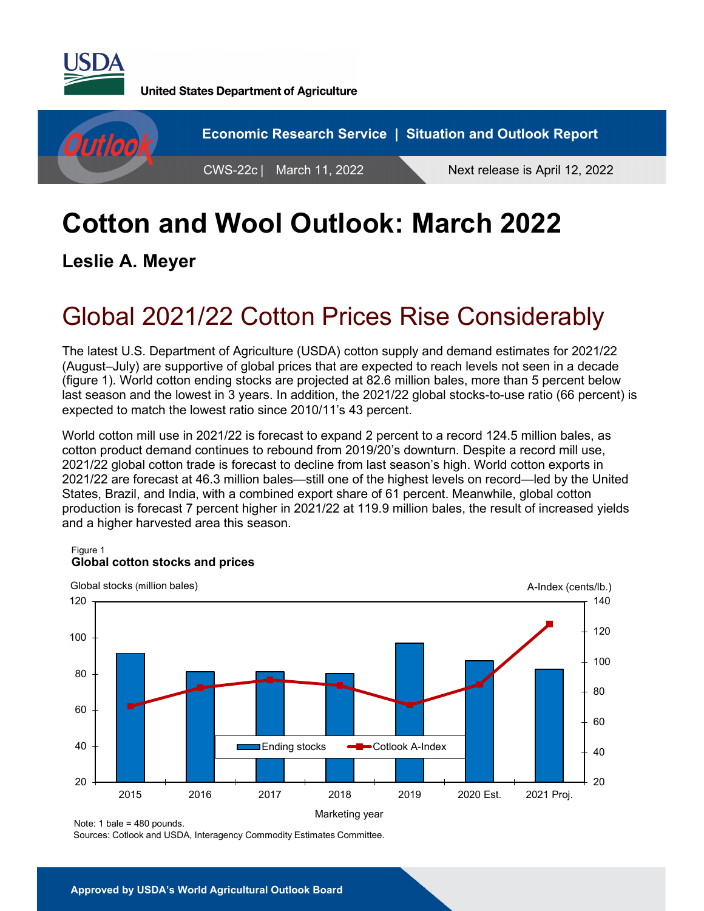

**United States Department of Agriculture** 



# **Cotton and Wool Outlook: March 2022**

**Leslie A. Meyer** 

## Global 2021/22 Cotton Prices Rise Considerably

The latest U.S. Department of Agriculture (USDA) cotton supply and demand estimates for 2021/22 (August–July) are supportive of global prices that are expected to reach levels not seen in a decade (figure 1). World cotton ending stocks are projected at 82.6 million bales, more than 5 percent below last season and the lowest in 3 years. In addition, the 2021/22 global stocks-to-use ratio (66 percent) is expected to match the lowest ratio since 2010/11's 43 percent.

World cotton mill use in 2021/22 is forecast to expand 2 percent to a record 124.5 million bales, as cotton product demand continues to rebound from 2019/20's downturn. Despite a record mill use, 2021/22 global cotton trade is forecast to decline from last season's high. World cotton exports in 2021/22 are forecast at 46.3 million bales—still one of the highest levels on record—led by the United States, Brazil, and India, with a combined export share of 61 percent. Meanwhile, global cotton production is forecast 7 percent higher in 2021/22 at 119.9 million bales, the result of increased yields and a higher harvested area this season.

#### Figure 1 **Global cotton stocks and prices**



Note: 1 bale = 480 pounds.

Sources: Cotlook and USDA, Interagency Commodity Estimates Committee.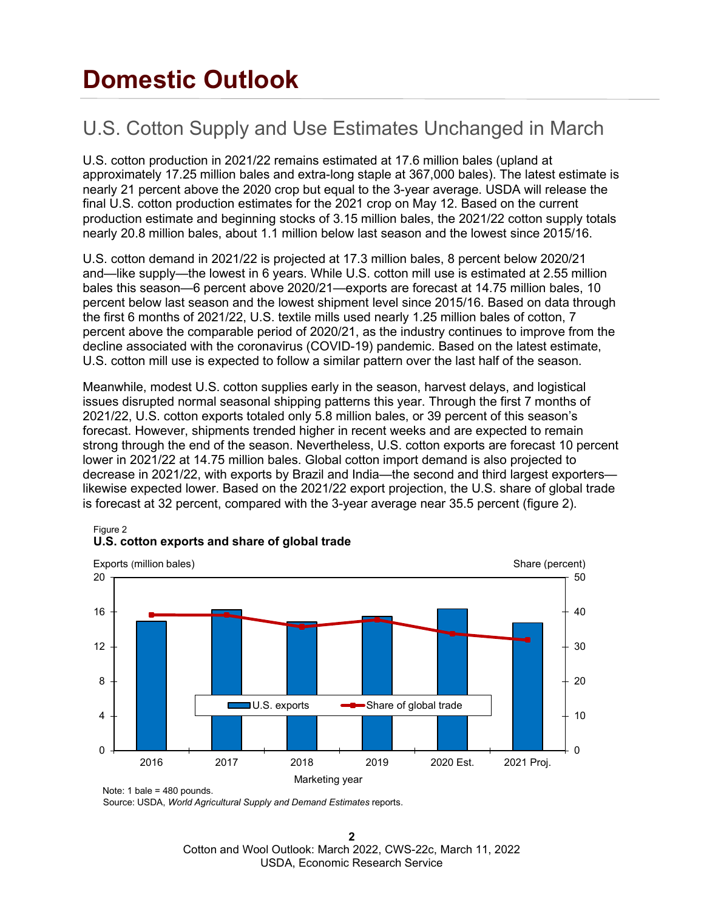## **Domestic Outlook**

## U.S. Cotton Supply and Use Estimates Unchanged in March

U.S. cotton production in 2021/22 remains estimated at 17.6 million bales (upland at approximately 17.25 million bales and extra-long staple at 367,000 bales). The latest estimate is nearly 21 percent above the 2020 crop but equal to the 3-year average. USDA will release the final U.S. cotton production estimates for the 2021 crop on May 12. Based on the current production estimate and beginning stocks of 3.15 million bales, the 2021/22 cotton supply totals nearly 20.8 million bales, about 1.1 million below last season and the lowest since 2015/16.

U.S. cotton demand in 2021/22 is projected at 17.3 million bales, 8 percent below 2020/21 and—like supply—the lowest in 6 years. While U.S. cotton mill use is estimated at 2.55 million bales this season—6 percent above 2020/21—exports are forecast at 14.75 million bales, 10 percent below last season and the lowest shipment level since 2015/16. Based on data through the first 6 months of 2021/22, U.S. textile mills used nearly 1.25 million bales of cotton, 7 percent above the comparable period of 2020/21, as the industry continues to improve from the decline associated with the coronavirus (COVID-19) pandemic. Based on the latest estimate, U.S. cotton mill use is expected to follow a similar pattern over the last half of the season.

Meanwhile, modest U.S. cotton supplies early in the season, harvest delays, and logistical issues disrupted normal seasonal shipping patterns this year. Through the first 7 months of 2021/22, U.S. cotton exports totaled only 5.8 million bales, or 39 percent of this season's forecast. However, shipments trended higher in recent weeks and are expected to remain strong through the end of the season. Nevertheless, U.S. cotton exports are forecast 10 percent lower in 2021/22 at 14.75 million bales. Global cotton import demand is also projected to decrease in 2021/22, with exports by Brazil and India—the second and third largest exporters likewise expected lower. Based on the 2021/22 export projection, the U.S. share of global trade is forecast at 32 percent, compared with the 3-year average near 35.5 percent (figure 2).



### **U.S. cotton exports and share of global trade**

Figure 2

Source: USDA, *World Agricultural Supply and Demand Estimates* reports.

**2** Cotton and Wool Outlook: March 2022, CWS-22c, March 11, 2022 USDA, Economic Research Service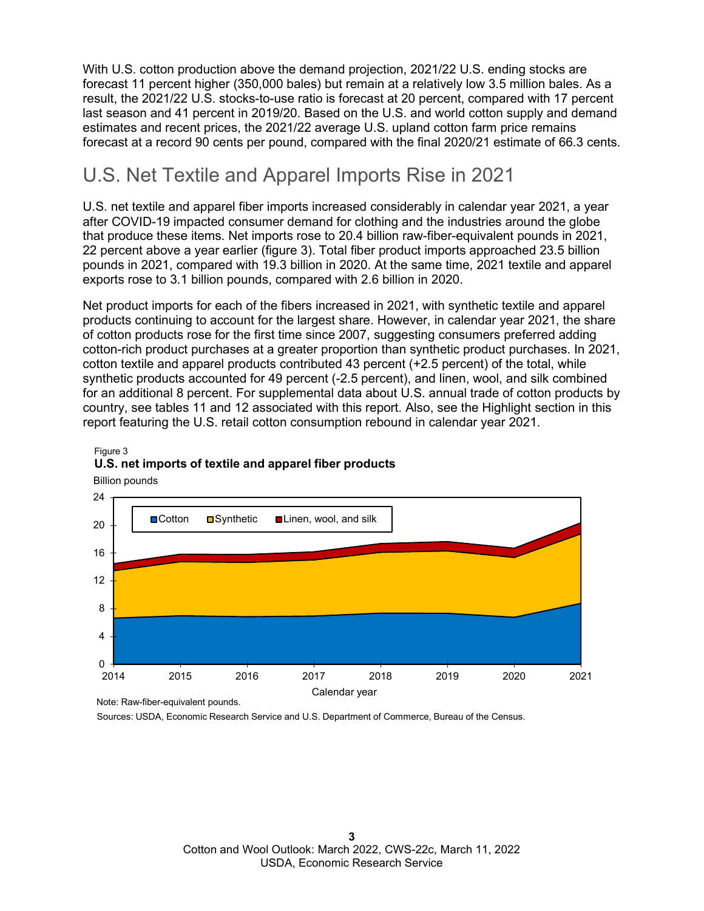With U.S. cotton production above the demand projection, 2021/22 U.S. ending stocks are forecast 11 percent higher (350,000 bales) but remain at a relatively low 3.5 million bales. As a result, the 2021/22 U.S. stocks-to-use ratio is forecast at 20 percent, compared with 17 percent last season and 41 percent in 2019/20. Based on the U.S. and world cotton supply and demand estimates and recent prices, the 2021/22 average U.S. upland cotton farm price remains forecast at a record 90 cents per pound, compared with the final 2020/21 estimate of 66.3 cents.

### U.S. Net Textile and Apparel Imports Rise in 2021

U.S. net textile and apparel fiber imports increased considerably in calendar year 2021, a year after COVID-19 impacted consumer demand for clothing and the industries around the globe that produce these items. Net imports rose to 20.4 billion raw-fiber-equivalent pounds in 2021, 22 percent above a year earlier (figure 3). Total fiber product imports approached 23.5 billion pounds in 2021, compared with 19.3 billion in 2020. At the same time, 2021 textile and apparel exports rose to 3.1 billion pounds, compared with 2.6 billion in 2020.

Net product imports for each of the fibers increased in 2021, with synthetic textile and apparel products continuing to account for the largest share. However, in calendar year 2021, the share of cotton products rose for the first time since 2007, suggesting consumers preferred adding cotton-rich product purchases at a greater proportion than synthetic product purchases. In 2021, cotton textile and apparel products contributed 43 percent (+2.5 percent) of the total, while synthetic products accounted for 49 percent (-2.5 percent), and linen, wool, and silk combined for an additional 8 percent. For supplemental data about U.S. annual trade of cotton products by country, see tables 11 and 12 associated with this report. Also, see the Highlight section in this report featuring the U.S. retail cotton consumption rebound in calendar year 2021.



#### Figure 3 **U.S. net imports of textile and apparel fiber products**

Note: Raw-fiber-equivalent pounds.

Sources: USDA, Economic Research Service and U.S. Department of Commerce, Bureau of the Census.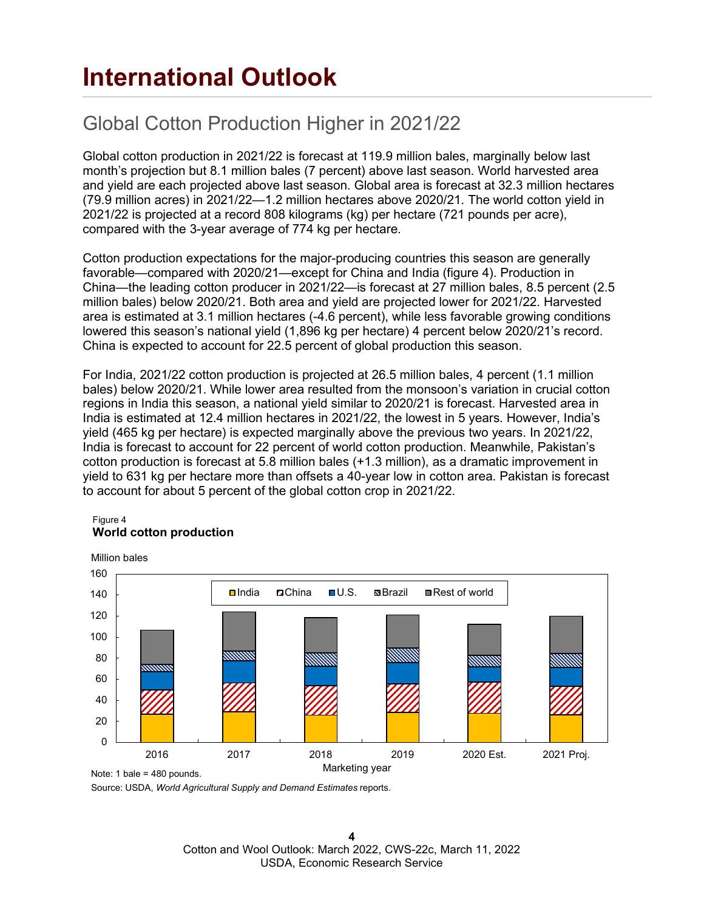## **International Outlook**

## Global Cotton Production Higher in 2021/22

Global cotton production in 2021/22 is forecast at 119.9 million bales, marginally below last month's projection but 8.1 million bales (7 percent) above last season. World harvested area and yield are each projected above last season. Global area is forecast at 32.3 million hectares (79.9 million acres) in 2021/22—1.2 million hectares above 2020/21. The world cotton yield in 2021/22 is projected at a record 808 kilograms (kg) per hectare (721 pounds per acre), compared with the 3-year average of 774 kg per hectare.

Cotton production expectations for the major-producing countries this season are generally favorable—compared with 2020/21—except for China and India (figure 4). Production in China—the leading cotton producer in 2021/22—is forecast at 27 million bales, 8.5 percent (2.5 million bales) below 2020/21. Both area and yield are projected lower for 2021/22. Harvested area is estimated at 3.1 million hectares (-4.6 percent), while less favorable growing conditions lowered this season's national yield (1,896 kg per hectare) 4 percent below 2020/21's record. China is expected to account for 22.5 percent of global production this season.

For India, 2021/22 cotton production is projected at 26.5 million bales, 4 percent (1.1 million bales) below 2020/21. While lower area resulted from the monsoon's variation in crucial cotton regions in India this season, a national yield similar to 2020/21 is forecast. Harvested area in India is estimated at 12.4 million hectares in 2021/22, the lowest in 5 years. However, India's yield (465 kg per hectare) is expected marginally above the previous two years. In 2021/22, India is forecast to account for 22 percent of world cotton production. Meanwhile, Pakistan's cotton production is forecast at 5.8 million bales (+1.3 million), as a dramatic improvement in yield to 631 kg per hectare more than offsets a 40-year low in cotton area. Pakistan is forecast to account for about 5 percent of the global cotton crop in 2021/22.

#### Figure 4 **World cotton production**



Source: USDA, *World Agricultural Supply and Demand Estimates* reports.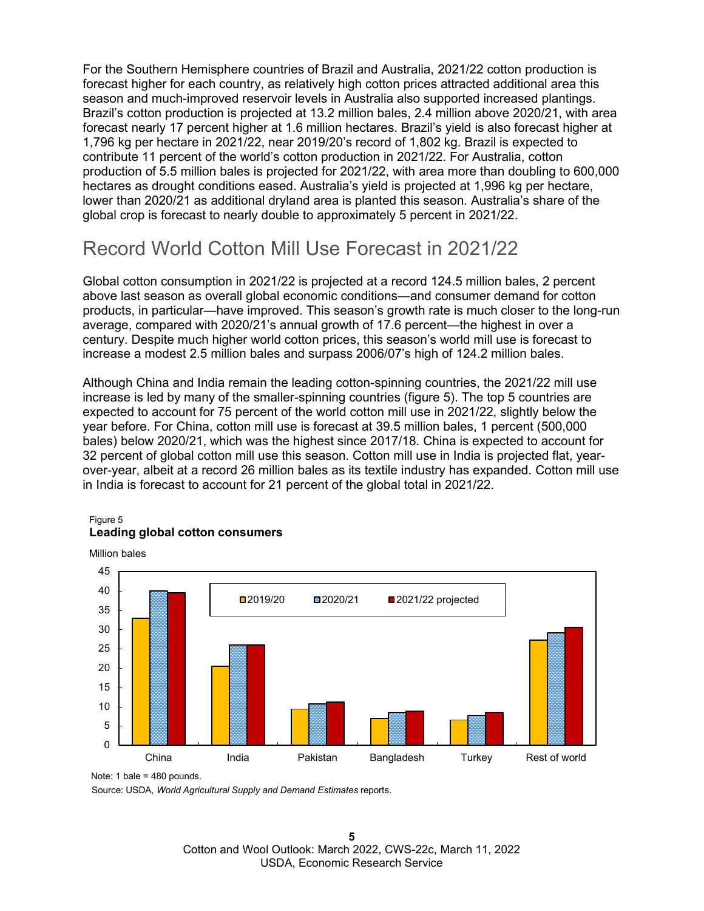For the Southern Hemisphere countries of Brazil and Australia, 2021/22 cotton production is forecast higher for each country, as relatively high cotton prices attracted additional area this season and much-improved reservoir levels in Australia also supported increased plantings. Brazil's cotton production is projected at 13.2 million bales, 2.4 million above 2020/21, with area forecast nearly 17 percent higher at 1.6 million hectares. Brazil's vield is also forecast higher at 1,796 kg per hectare in 2021/22, near 2019/20's record of 1,802 kg. Brazil is expected to contribute 11 percent of the world's cotton production in 2021/22. For Australia, cotton production of 5.5 million bales is projected for 2021/22, with area more than doubling to 600,000 hectares as drought conditions eased. Australia's yield is projected at 1,996 kg per hectare, lower than 2020/21 as additional dryland area is planted this season. Australia's share of the global crop is forecast to nearly double to approximately 5 percent in 2021/22.

### Record World Cotton Mill Use Forecast in 2021/22

Global cotton consumption in 2021/22 is projected at a record 124.5 million bales, 2 percent above last season as overall global economic conditions—and consumer demand for cotton products, in particular—have improved. This season's growth rate is much closer to the long-run average, compared with 2020/21's annual growth of 17.6 percent—the highest in over a century. Despite much higher world cotton prices, this season's world mill use is forecast to increase a modest 2.5 million bales and surpass 2006/07's high of 124.2 million bales.

Although China and India remain the leading cotton-spinning countries, the 2021/22 mill use increase is led by many of the smaller-spinning countries (figure 5). The top 5 countries are expected to account for 75 percent of the world cotton mill use in 2021/22, slightly below the year before. For China, cotton mill use is forecast at 39.5 million bales, 1 percent (500,000 bales) below 2020/21, which was the highest since 2017/18. China is expected to account for 32 percent of global cotton mill use this season. Cotton mill use in India is projected flat, yearover-year, albeit at a record 26 million bales as its textile industry has expanded. Cotton mill use in India is forecast to account for 21 percent of the global total in 2021/22.

#### Figure 5 **Leading global cotton consumers**



Note: 1 bale = 480 pounds.

Source: USDA, *World Agricultural Supply and Demand Estimates* reports.

**5** Cotton and Wool Outlook: March 2022, CWS-22c, March 11, 2022 USDA, Economic Research Service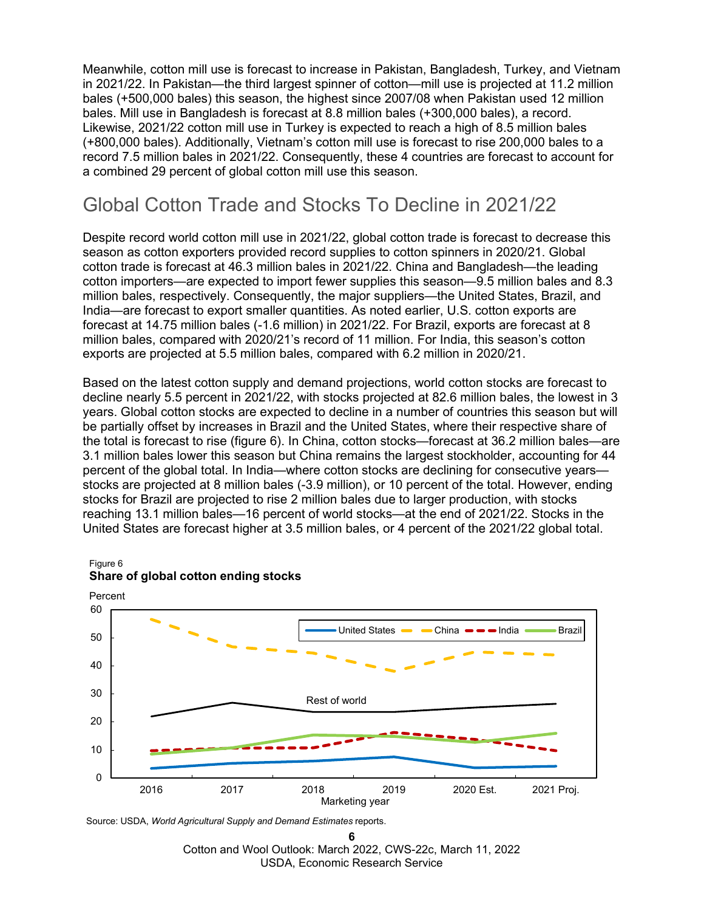Meanwhile, cotton mill use is forecast to increase in Pakistan, Bangladesh, Turkey, and Vietnam in 2021/22. In Pakistan—the third largest spinner of cotton—mill use is projected at 11.2 million bales (+500,000 bales) this season, the highest since 2007/08 when Pakistan used 12 million bales. Mill use in Bangladesh is forecast at 8.8 million bales (+300,000 bales), a record. Likewise, 2021/22 cotton mill use in Turkey is expected to reach a high of 8.5 million bales (+800,000 bales). Additionally, Vietnam's cotton mill use is forecast to rise 200,000 bales to a record 7.5 million bales in 2021/22. Consequently, these 4 countries are forecast to account for a combined 29 percent of global cotton mill use this season.

### Global Cotton Trade and Stocks To Decline in 2021/22

Despite record world cotton mill use in 2021/22, global cotton trade is forecast to decrease this season as cotton exporters provided record supplies to cotton spinners in 2020/21. Global cotton trade is forecast at 46.3 million bales in 2021/22. China and Bangladesh—the leading cotton importers—are expected to import fewer supplies this season—9.5 million bales and 8.3 million bales, respectively. Consequently, the major suppliers—the United States, Brazil, and India—are forecast to export smaller quantities. As noted earlier, U.S. cotton exports are forecast at 14.75 million bales (-1.6 million) in 2021/22. For Brazil, exports are forecast at 8 million bales, compared with 2020/21's record of 11 million. For India, this season's cotton exports are projected at 5.5 million bales, compared with 6.2 million in 2020/21.

Based on the latest cotton supply and demand projections, world cotton stocks are forecast to decline nearly 5.5 percent in 2021/22, with stocks projected at 82.6 million bales, the lowest in 3 years. Global cotton stocks are expected to decline in a number of countries this season but will be partially offset by increases in Brazil and the United States, where their respective share of the total is forecast to rise (figure 6). In China, cotton stocks—forecast at 36.2 million bales—are 3.1 million bales lower this season but China remains the largest stockholder, accounting for 44 percent of the global total. In India—where cotton stocks are declining for consecutive years stocks are projected at 8 million bales (-3.9 million), or 10 percent of the total. However, ending stocks for Brazil are projected to rise 2 million bales due to larger production, with stocks reaching 13.1 million bales—16 percent of world stocks—at the end of 2021/22. Stocks in the United States are forecast higher at 3.5 million bales, or 4 percent of the 2021/22 global total.



#### Figure 6 **Share of global cotton ending stocks**

Source: USDA, *World Agricultural Supply and Demand Estimates* reports.

**6** Cotton and Wool Outlook: March 2022, CWS-22c, March 11, 2022 USDA, Economic Research Service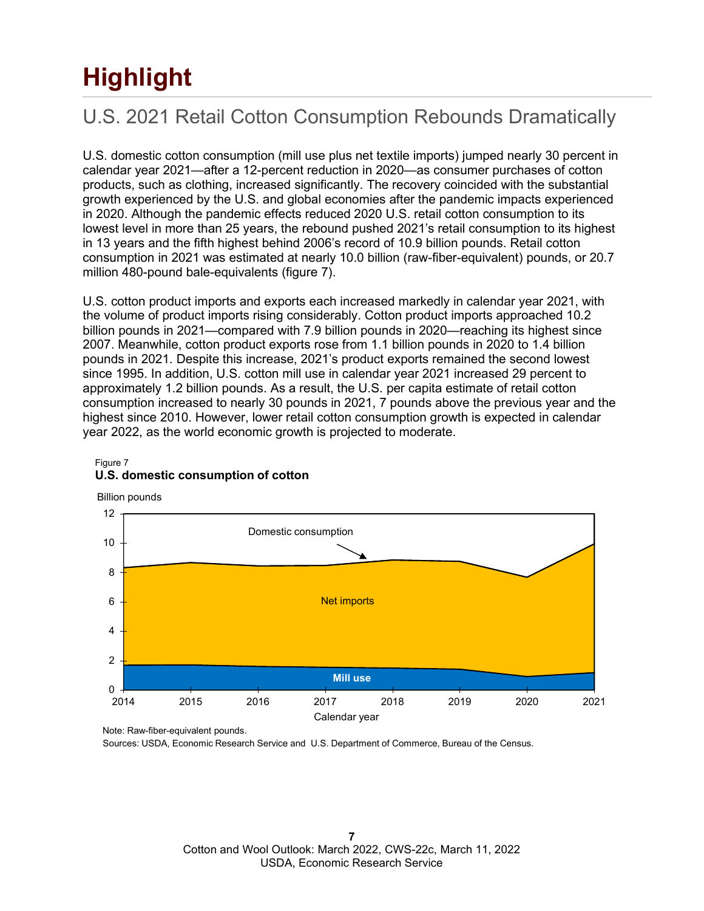# **Highlight**

## U.S. 2021 Retail Cotton Consumption Rebounds Dramatically

U.S. domestic cotton consumption (mill use plus net textile imports) jumped nearly 30 percent in calendar year 2021—after a 12-percent reduction in 2020—as consumer purchases of cotton products, such as clothing, increased significantly. The recovery coincided with the substantial growth experienced by the U.S. and global economies after the pandemic impacts experienced in 2020. Although the pandemic effects reduced 2020 U.S. retail cotton consumption to its lowest level in more than 25 years, the rebound pushed 2021's retail consumption to its highest in 13 years and the fifth highest behind 2006's record of 10.9 billion pounds. Retail cotton consumption in 2021 was estimated at nearly 10.0 billion (raw-fiber-equivalent) pounds, or 20.7 million 480-pound bale-equivalents (figure 7).

U.S. cotton product imports and exports each increased markedly in calendar year 2021, with the volume of product imports rising considerably. Cotton product imports approached 10.2 billion pounds in 2021—compared with 7.9 billion pounds in 2020—reaching its highest since 2007. Meanwhile, cotton product exports rose from 1.1 billion pounds in 2020 to 1.4 billion pounds in 2021. Despite this increase, 2021's product exports remained the second lowest since 1995. In addition, U.S. cotton mill use in calendar year 2021 increased 29 percent to approximately 1.2 billion pounds. As a result, the U.S. per capita estimate of retail cotton consumption increased to nearly 30 pounds in 2021, 7 pounds above the previous year and the highest since 2010. However, lower retail cotton consumption growth is expected in calendar year 2022, as the world economic growth is projected to moderate.



#### Figure 7 **U.S. domestic consumption of cotton**

Note: Raw-fiber-equivalent pounds.

Sources: USDA, Economic Research Service and U.S. Department of Commerce, Bureau of the Census.